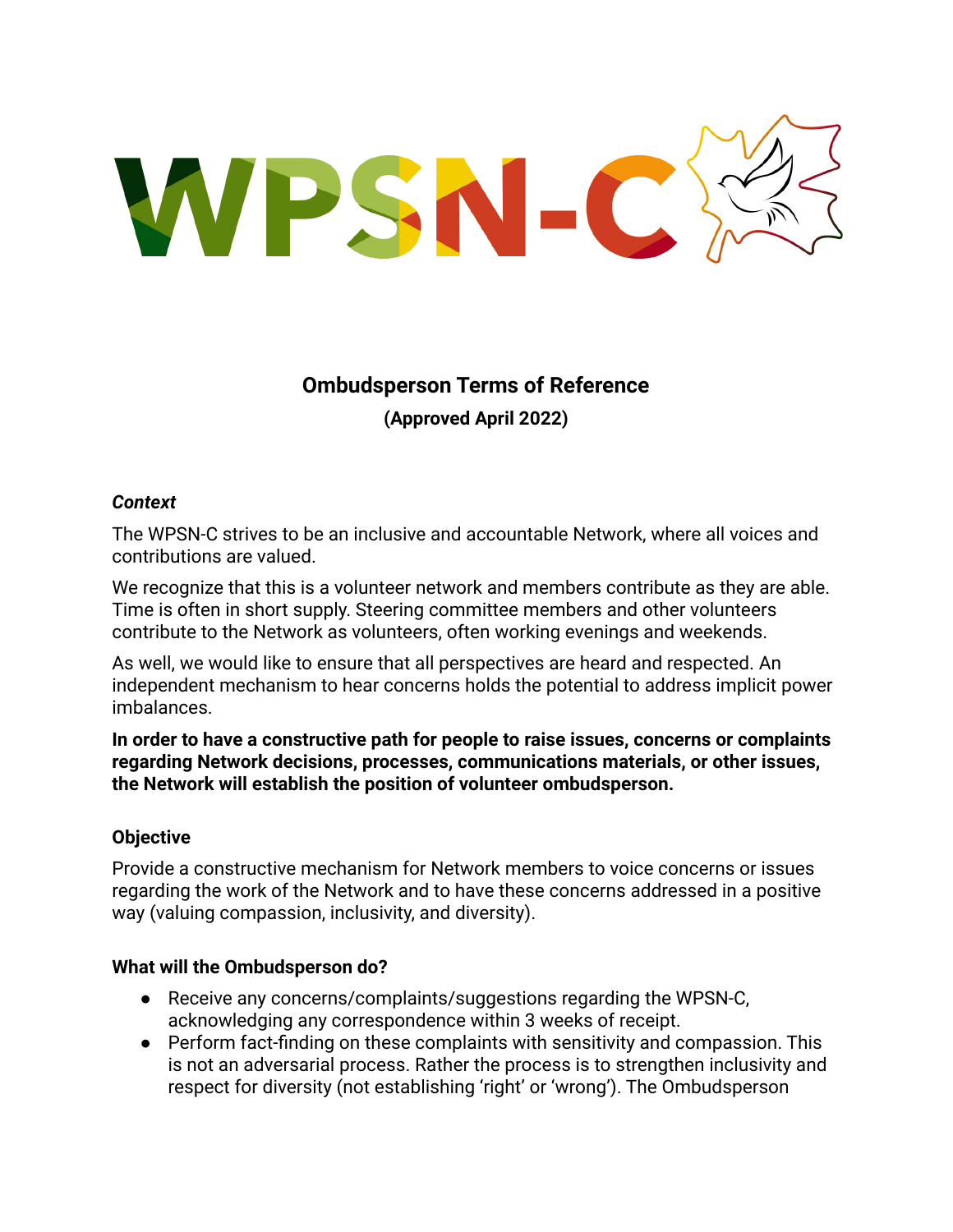WPSN-C

# **Ombudsperson Terms of Reference (Approved April 2022)**

#### *Context*

The WPSN-C strives to be an inclusive and accountable Network, where all voices and contributions are valued.

We recognize that this is a volunteer network and members contribute as they are able. Time is often in short supply. Steering committee members and other volunteers contribute to the Network as volunteers, often working evenings and weekends.

As well, we would like to ensure that all perspectives are heard and respected. An independent mechanism to hear concerns holds the potential to address implicit power imbalances.

**In order to have a constructive path for people to raise issues, concerns or complaints regarding Network decisions, processes, communications materials, or other issues, the Network will establish the position of volunteer ombudsperson.**

## **Objective**

Provide a constructive mechanism for Network members to voice concerns or issues regarding the work of the Network and to have these concerns addressed in a positive way (valuing compassion, inclusivity, and diversity).

#### **What will the Ombudsperson do?**

- Receive any concerns/complaints/suggestions regarding the WPSN-C. acknowledging any correspondence within 3 weeks of receipt.
- Perform fact-finding on these complaints with sensitivity and compassion. This is not an adversarial process. Rather the process is to strengthen inclusivity and respect for diversity (not establishing 'right' or 'wrong'). The Ombudsperson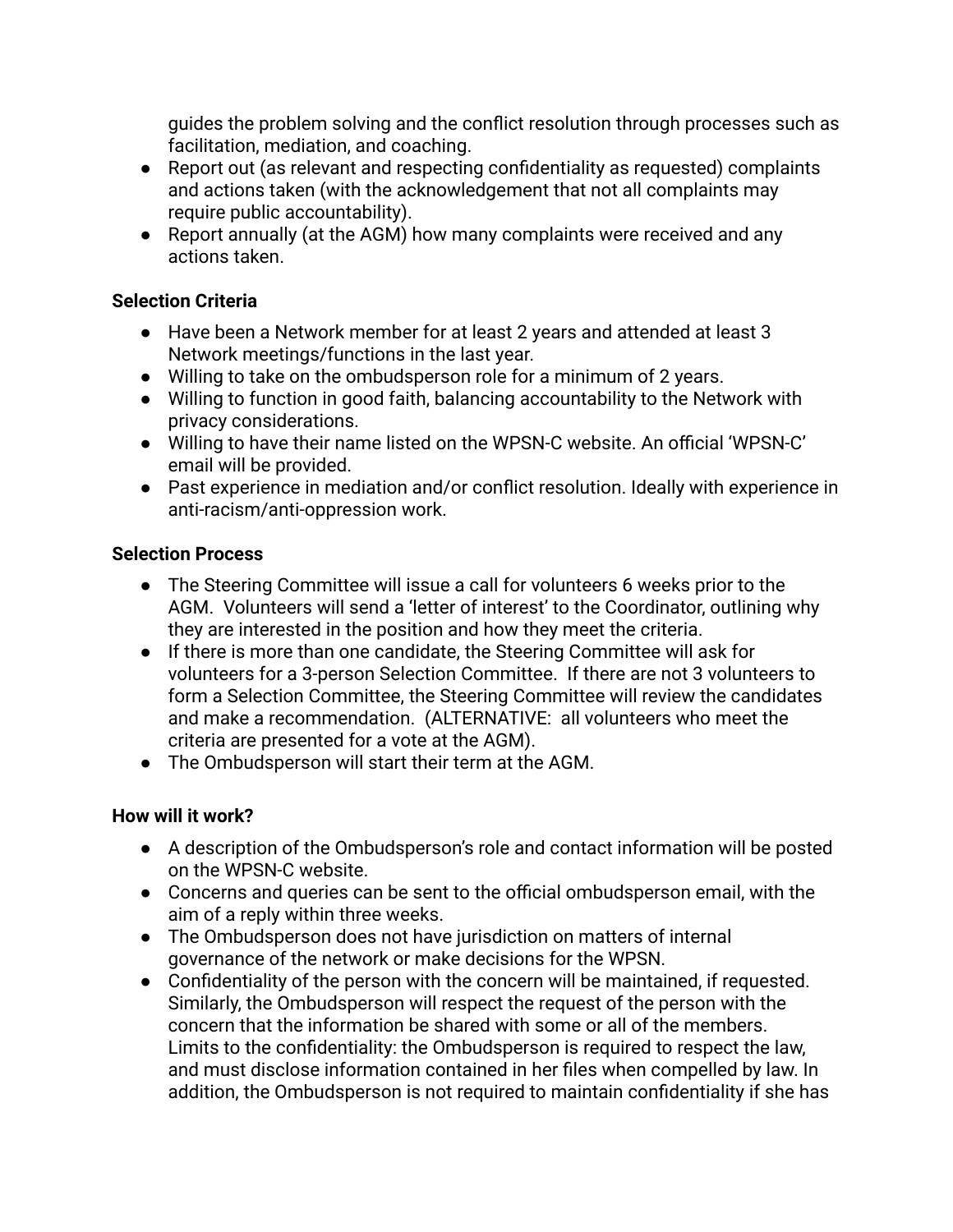guides the problem solving and the conflict resolution through processes such as facilitation, mediation, and coaching.

- Report out (as relevant and respecting confidentiality as requested) complaints and actions taken (with the acknowledgement that not all complaints may require public accountability).
- Report annually (at the AGM) how many complaints were received and any actions taken.

## **Selection Criteria**

- Have been a Network member for at least 2 years and attended at least 3 Network meetings/functions in the last year.
- Willing to take on the ombudsperson role for a minimum of 2 years.
- Willing to function in good faith, balancing accountability to the Network with privacy considerations.
- Willing to have their name listed on the WPSN-C website. An official 'WPSN-C' email will be provided.
- Past experience in mediation and/or conflict resolution. Ideally with experience in anti-racism/anti-oppression work.

## **Selection Process**

- The Steering Committee will issue a call for volunteers 6 weeks prior to the AGM. Volunteers will send a 'letter of interest' to the Coordinator, outlining why they are interested in the position and how they meet the criteria.
- If there is more than one candidate, the Steering Committee will ask for volunteers for a 3-person Selection Committee. If there are not 3 volunteers to form a Selection Committee, the Steering Committee will review the candidates and make a recommendation. (ALTERNATIVE: all volunteers who meet the criteria are presented for a vote at the AGM).
- The Ombudsperson will start their term at the AGM.

# **How will it work?**

- A description of the Ombudsperson's role and contact information will be posted on the WPSN-C website.
- Concerns and queries can be sent to the official ombudsperson email, with the aim of a reply within three weeks.
- The Ombudsperson does not have jurisdiction on matters of internal governance of the network or make decisions for the WPSN.
- Confidentiality of the person with the concern will be maintained, if requested. Similarly, the Ombudsperson will respect the request of the person with the concern that the information be shared with some or all of the members. Limits to the confidentiality: the Ombudsperson is required to respect the law, and must disclose information contained in her files when compelled by law. In addition, the Ombudsperson is not required to maintain confidentiality if she has